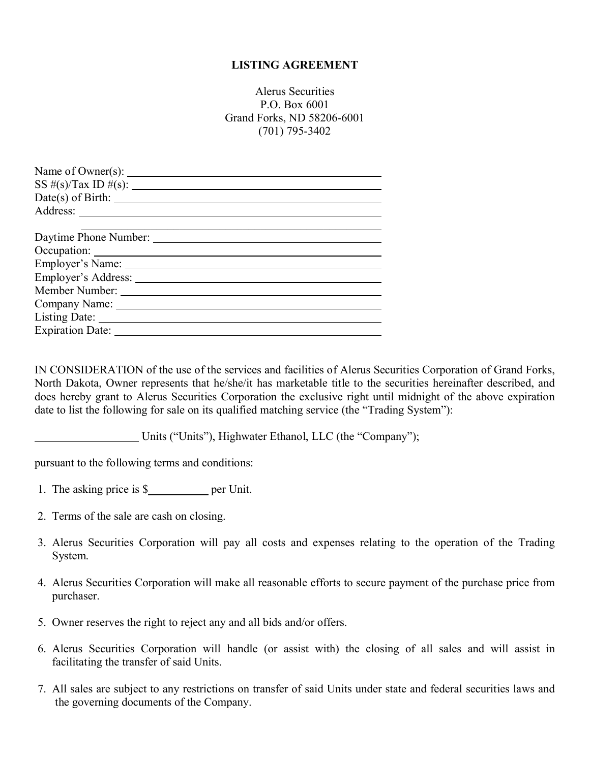## **LISTING AGREEMENT**

Alerus Securities P.O. Box 6001 Grand Forks, ND 58206-6001 (701) 795-3402

IN CONSIDERATION of the use of the services and facilities of Alerus Securities Corporation of Grand Forks, North Dakota, Owner represents that he/she/it has marketable title to the securities hereinafter described, and does hereby grant to Alerus Securities Corporation the exclusive right until midnight of the above expiration date to list the following for sale on its qualified matching service (the "Trading System"):

Units ("Units"), Highwater Ethanol, LLC (the "Company");

pursuant to the following terms and conditions:

- 1. The asking price is \$\_\_\_\_\_\_\_\_\_\_\_\_ per Unit.
- 2. Terms of the sale are cash on closing.
- 3. Alerus Securities Corporation will pay all costs and expenses relating to the operation of the Trading System.
- 4. Alerus Securities Corporation will make all reasonable efforts to secure payment of the purchase price from purchaser.
- 5. Owner reserves the right to reject any and all bids and/or offers.
- 6. Alerus Securities Corporation will handle (or assist with) the closing of all sales and will assist in facilitating the transfer of said Units.
- 7. All sales are subject to any restrictions on transfer of said Units under state and federal securities laws and the governing documents of the Company.